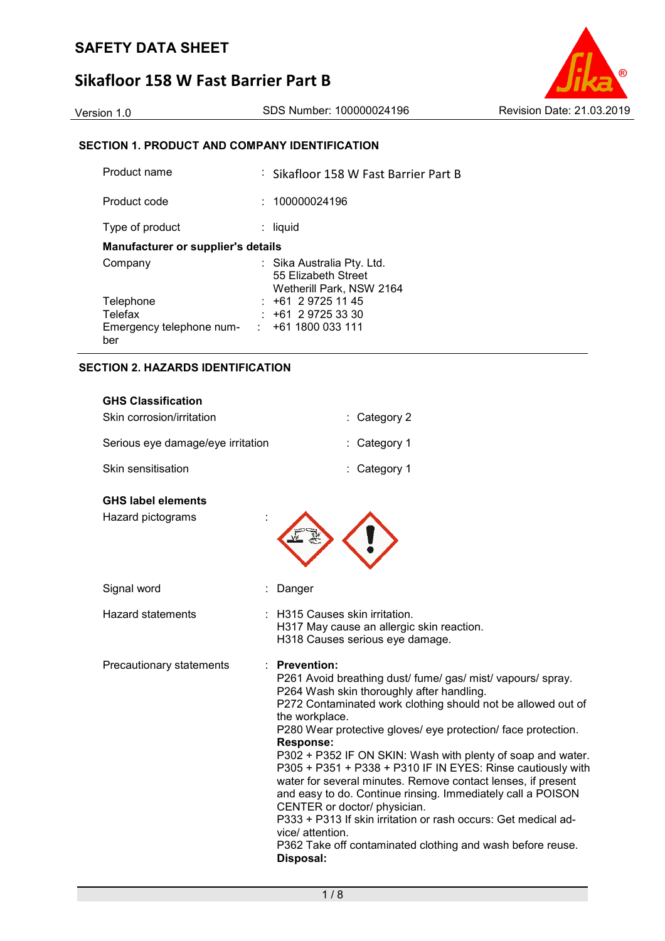# **Sikafloor 158 W Fast Barrier Part B**



# **SECTION 1. PRODUCT AND COMPANY IDENTIFICATION**

| Product name                                             |  | : Sikafloor 158 W Fast Barrier Part B                                         |  |  |
|----------------------------------------------------------|--|-------------------------------------------------------------------------------|--|--|
| Product code                                             |  | 100000024196                                                                  |  |  |
| Type of product                                          |  | liquid                                                                        |  |  |
| <b>Manufacturer or supplier's details</b>                |  |                                                                               |  |  |
| Company                                                  |  | : Sika Australia Pty. Ltd.<br>55 Elizabeth Street<br>Wetherill Park, NSW 2164 |  |  |
| Telephone                                                |  | $: +61297251145$                                                              |  |  |
| Telefax                                                  |  | : 161297253330                                                                |  |  |
| Emergency telephone num- $\cdot$ +61 1800 033 111<br>ber |  |                                                                               |  |  |

#### **SECTION 2. HAZARDS IDENTIFICATION**

| <b>GHS Classification</b><br>Skin corrosion/irritation | : Category 2                                                                                                                                                                                                                                                                                                                                                                                                                                                                                                                                                                                                                                                                                                                                                        |
|--------------------------------------------------------|---------------------------------------------------------------------------------------------------------------------------------------------------------------------------------------------------------------------------------------------------------------------------------------------------------------------------------------------------------------------------------------------------------------------------------------------------------------------------------------------------------------------------------------------------------------------------------------------------------------------------------------------------------------------------------------------------------------------------------------------------------------------|
| Serious eye damage/eye irritation                      | : Category 1                                                                                                                                                                                                                                                                                                                                                                                                                                                                                                                                                                                                                                                                                                                                                        |
| Skin sensitisation                                     | : Category 1                                                                                                                                                                                                                                                                                                                                                                                                                                                                                                                                                                                                                                                                                                                                                        |
| <b>GHS label elements</b><br>Hazard pictograms         |                                                                                                                                                                                                                                                                                                                                                                                                                                                                                                                                                                                                                                                                                                                                                                     |
| Signal word                                            | Danger                                                                                                                                                                                                                                                                                                                                                                                                                                                                                                                                                                                                                                                                                                                                                              |
| <b>Hazard statements</b>                               | : H315 Causes skin irritation.<br>H317 May cause an allergic skin reaction.<br>H318 Causes serious eye damage.                                                                                                                                                                                                                                                                                                                                                                                                                                                                                                                                                                                                                                                      |
| Precautionary statements                               | <b>Prevention:</b><br>P261 Avoid breathing dust/ fume/ gas/ mist/ vapours/ spray.<br>P264 Wash skin thoroughly after handling.<br>P272 Contaminated work clothing should not be allowed out of<br>the workplace.<br>P280 Wear protective gloves/ eye protection/ face protection.<br><b>Response:</b><br>P302 + P352 IF ON SKIN: Wash with plenty of soap and water.<br>P305 + P351 + P338 + P310 IF IN EYES: Rinse cautiously with<br>water for several minutes. Remove contact lenses, if present<br>and easy to do. Continue rinsing. Immediately call a POISON<br>CENTER or doctor/ physician.<br>P333 + P313 If skin irritation or rash occurs: Get medical ad-<br>vice/ attention.<br>P362 Take off contaminated clothing and wash before reuse.<br>Disposal: |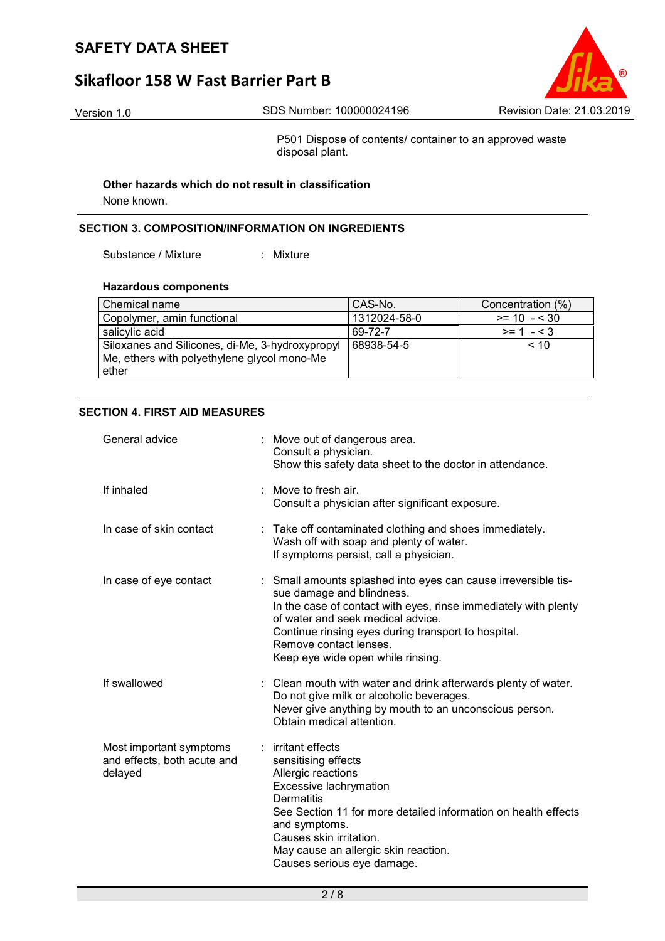# **Sikafloor 158 W Fast Barrier Part B**



P501 Dispose of contents/ container to an approved waste disposal plant.

**Other hazards which do not result in classification**

None known.

## **SECTION 3. COMPOSITION/INFORMATION ON INGREDIENTS**

Substance / Mixture : Mixture

### **Hazardous components**

| Chemical name                                                                                             | CAS-No.      | Concentration (%) |
|-----------------------------------------------------------------------------------------------------------|--------------|-------------------|
| Copolymer, amin functional                                                                                | 1312024-58-0 | $>= 10 - 530$     |
| salicylic acid                                                                                            | 69-72-7      | $>= 1 - 3$        |
| Siloxanes and Silicones, di-Me, 3-hydroxypropyl<br>Me, ethers with polyethylene glycol mono-Me<br>l ether | 68938-54-5   | < 10              |

## **SECTION 4. FIRST AID MEASURES**

| General advice                                                    | : Move out of dangerous area.<br>Consult a physician.<br>Show this safety data sheet to the doctor in attendance.                                                                                                                                                                                                       |
|-------------------------------------------------------------------|-------------------------------------------------------------------------------------------------------------------------------------------------------------------------------------------------------------------------------------------------------------------------------------------------------------------------|
| If inhaled                                                        | Move to fresh air.<br>Consult a physician after significant exposure.                                                                                                                                                                                                                                                   |
| In case of skin contact                                           | : Take off contaminated clothing and shoes immediately.<br>Wash off with soap and plenty of water.<br>If symptoms persist, call a physician.                                                                                                                                                                            |
| In case of eye contact                                            | Small amounts splashed into eyes can cause irreversible tis-<br>sue damage and blindness.<br>In the case of contact with eyes, rinse immediately with plenty<br>of water and seek medical advice.<br>Continue rinsing eyes during transport to hospital.<br>Remove contact lenses.<br>Keep eye wide open while rinsing. |
| If swallowed                                                      | : Clean mouth with water and drink afterwards plenty of water.<br>Do not give milk or alcoholic beverages.<br>Never give anything by mouth to an unconscious person.<br>Obtain medical attention.                                                                                                                       |
| Most important symptoms<br>and effects, both acute and<br>delayed | : irritant effects<br>sensitising effects<br>Allergic reactions<br>Excessive lachrymation<br><b>Dermatitis</b><br>See Section 11 for more detailed information on health effects<br>and symptoms.<br>Causes skin irritation.<br>May cause an allergic skin reaction.<br>Causes serious eye damage.                      |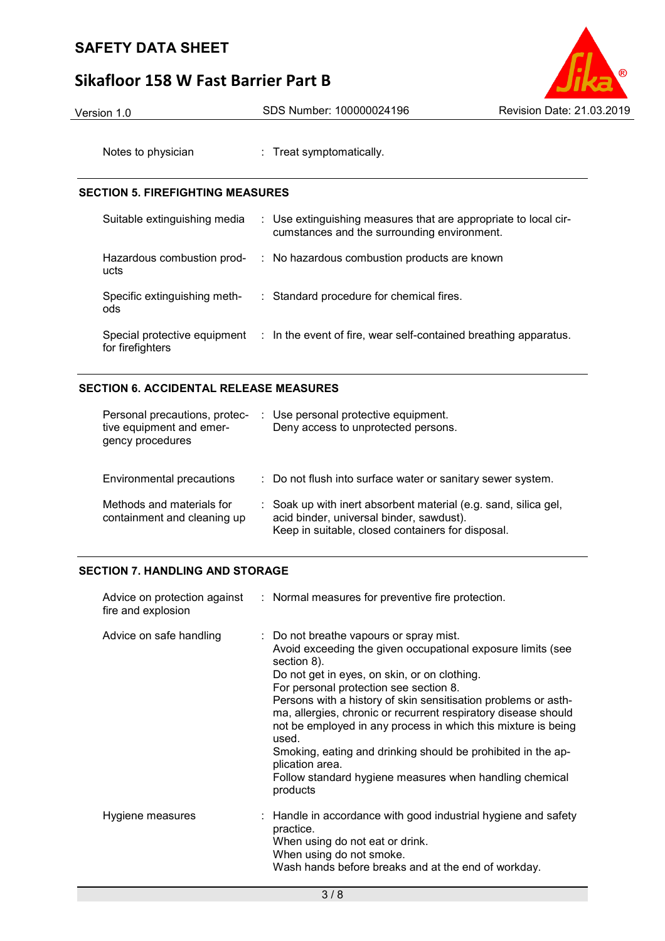# **Sikafloor 158 W Fast Barrier Part B**



Version 1.0 SDS Number: 100000024196 Revision Date: 21.03.2019

Notes to physician : Treat symptomatically.

# **SECTION 5. FIREFIGHTING MEASURES**

| Suitable extinguishing media                     | : Use extinguishing measures that are appropriate to local cir-<br>cumstances and the surrounding environment. |
|--------------------------------------------------|----------------------------------------------------------------------------------------------------------------|
| Hazardous combustion prod-<br>ucts               | : No hazardous combustion products are known                                                                   |
| Specific extinguishing meth-<br>ods              | : Standard procedure for chemical fires.                                                                       |
| Special protective equipment<br>for firefighters | : In the event of fire, wear self-contained breathing apparatus.                                               |

# **SECTION 6. ACCIDENTAL RELEASE MEASURES**

| Personal precautions, protec-<br>tive equipment and emer-<br>gency procedures | Use personal protective equipment.<br>Deny access to unprotected persons.                                                                                        |
|-------------------------------------------------------------------------------|------------------------------------------------------------------------------------------------------------------------------------------------------------------|
| Environmental precautions                                                     | : Do not flush into surface water or sanitary sewer system.                                                                                                      |
| Methods and materials for<br>containment and cleaning up                      | : Soak up with inert absorbent material (e.g. sand, silica gel,<br>acid binder, universal binder, sawdust).<br>Keep in suitable, closed containers for disposal. |

# **SECTION 7. HANDLING AND STORAGE**

| fire and explosion      | Advice on protection against : Normal measures for preventive fire protection.                                                                                                                                                                                                                                                                                                                                                                                                                                                                                                          |
|-------------------------|-----------------------------------------------------------------------------------------------------------------------------------------------------------------------------------------------------------------------------------------------------------------------------------------------------------------------------------------------------------------------------------------------------------------------------------------------------------------------------------------------------------------------------------------------------------------------------------------|
| Advice on safe handling | : Do not breathe vapours or spray mist.<br>Avoid exceeding the given occupational exposure limits (see<br>section 8).<br>Do not get in eyes, on skin, or on clothing.<br>For personal protection see section 8.<br>Persons with a history of skin sensitisation problems or asth-<br>ma, allergies, chronic or recurrent respiratory disease should<br>not be employed in any process in which this mixture is being<br>used.<br>Smoking, eating and drinking should be prohibited in the ap-<br>plication area.<br>Follow standard hygiene measures when handling chemical<br>products |
| Hygiene measures        | : Handle in accordance with good industrial hygiene and safety<br>practice.<br>When using do not eat or drink.<br>When using do not smoke.<br>Wash hands before breaks and at the end of workday.                                                                                                                                                                                                                                                                                                                                                                                       |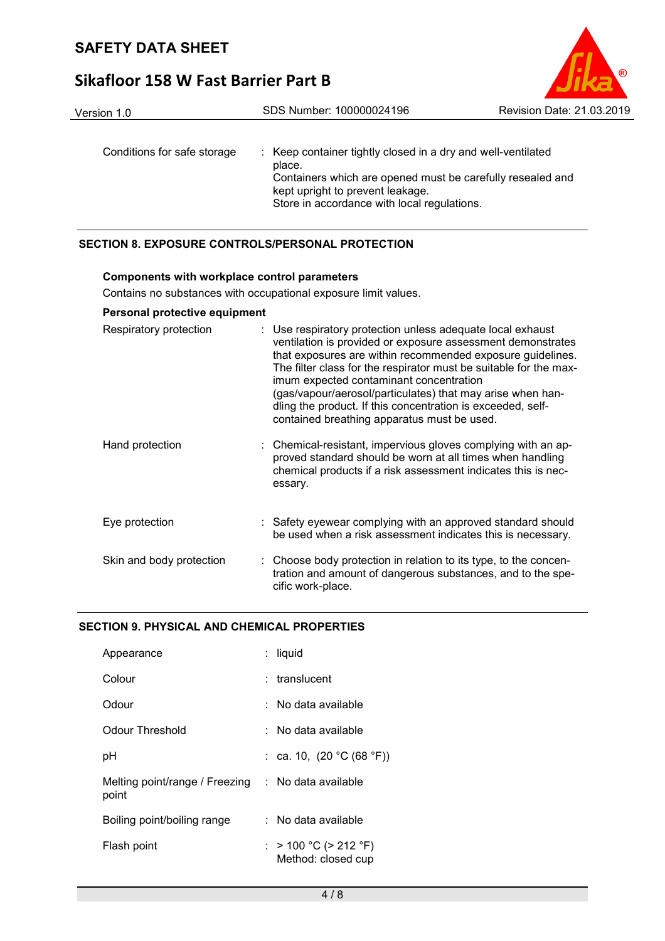# **Sikafloor 158 W Fast Barrier Part B**



## **SECTION 8. EXPOSURE CONTROLS/PERSONAL PROTECTION**

#### **Components with workplace control parameters**

Contains no substances with occupational exposure limit values.

## **Personal protective equipment**

| Respiratory protection   | : Use respiratory protection unless adequate local exhaust<br>ventilation is provided or exposure assessment demonstrates<br>that exposures are within recommended exposure guidelines.<br>The filter class for the respirator must be suitable for the max-<br>imum expected contaminant concentration<br>(gas/vapour/aerosol/particulates) that may arise when han-<br>dling the product. If this concentration is exceeded, self-<br>contained breathing apparatus must be used. |
|--------------------------|-------------------------------------------------------------------------------------------------------------------------------------------------------------------------------------------------------------------------------------------------------------------------------------------------------------------------------------------------------------------------------------------------------------------------------------------------------------------------------------|
| Hand protection          | : Chemical-resistant, impervious gloves complying with an ap-<br>proved standard should be worn at all times when handling<br>chemical products if a risk assessment indicates this is nec-<br>essary.                                                                                                                                                                                                                                                                              |
| Eye protection           | : Safety eyewear complying with an approved standard should<br>be used when a risk assessment indicates this is necessary.                                                                                                                                                                                                                                                                                                                                                          |
| Skin and body protection | : Choose body protection in relation to its type, to the concen-<br>tration and amount of dangerous substances, and to the spe-<br>cific work-place.                                                                                                                                                                                                                                                                                                                                |

## **SECTION 9. PHYSICAL AND CHEMICAL PROPERTIES**

| Appearance                              | : liquid                                    |  |
|-----------------------------------------|---------------------------------------------|--|
| Colour                                  | $:$ translucent                             |  |
| Odour                                   | ∴ No data available                         |  |
| Odour Threshold                         | : No data available                         |  |
| рH                                      | : ca. 10, $(20 °C (68 °F))$                 |  |
| Melting point/range / Freezing<br>point | $\therefore$ No data available              |  |
| Boiling point/boiling range             | : No data available                         |  |
| Flash point                             | : > 100 °C (> 212 °F)<br>Method: closed cup |  |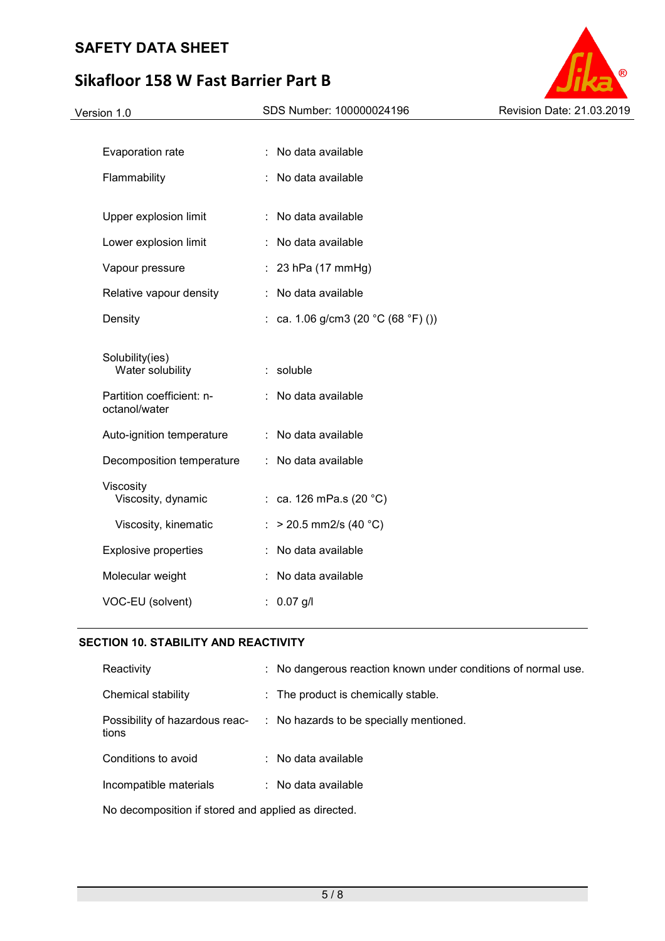# **Sikafloor 158 W Fast Barrier Part B**

| SDS Number: 100000024196                                | Revision Date: 21.03.2019 |
|---------------------------------------------------------|---------------------------|
|                                                         |                           |
| : No data available                                     |                           |
| : No data available                                     |                           |
| : No data available                                     |                           |
| : No data available                                     |                           |
| $: 23$ hPa (17 mmHg)                                    |                           |
| : No data available                                     |                           |
| : ca. 1.06 g/cm3 (20 $^{\circ}$ C (68 $^{\circ}$ F) ()) |                           |
| : soluble                                               |                           |
| : No data available                                     |                           |
| : No data available                                     |                           |
| : No data available                                     |                           |
| : ca. 126 mPa.s $(20 °C)$                               |                           |
| : > 20.5 mm2/s (40 $^{\circ}$ C)                        |                           |
| : No data available                                     |                           |
| : No data available                                     |                           |
| $: 0.07$ g/l                                            |                           |
|                                                         |                           |

®

# **SECTION 10. STABILITY AND REACTIVITY**

| Reactivity                                          |  | : No dangerous reaction known under conditions of normal use. |
|-----------------------------------------------------|--|---------------------------------------------------------------|
| Chemical stability                                  |  | : The product is chemically stable.                           |
| Possibility of hazardous reac-<br>tions             |  | : No hazards to be specially mentioned.                       |
| Conditions to avoid                                 |  | $\therefore$ No data available                                |
| Incompatible materials                              |  | $\therefore$ No data available                                |
| No decomposition if stored and applied as directed. |  |                                                               |

5 / 8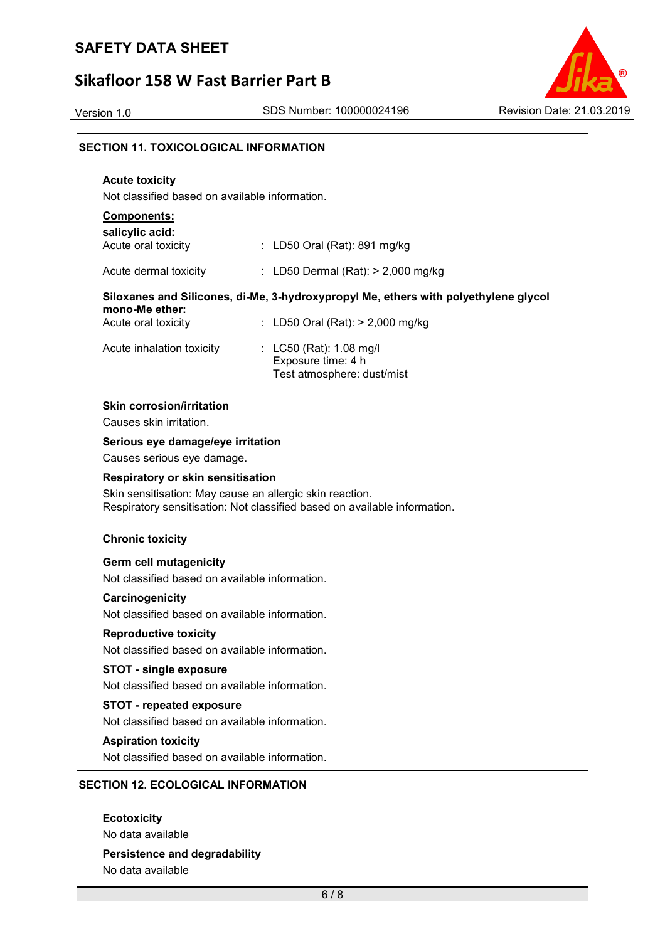# **Sikafloor 158 W Fast Barrier Part B**



## **SECTION 11. TOXICOLOGICAL INFORMATION**

# **Acute toxicity**

Not classified based on available information.

#### **Components: salicylic acid:**

| Acute oral toxicity       | : LD50 Oral (Rat): 891 mg/kg                                                        |
|---------------------------|-------------------------------------------------------------------------------------|
| Acute dermal toxicity     | : LD50 Dermal (Rat): $> 2,000$ mg/kg                                                |
| mono-Me ether:            | Siloxanes and Silicones, di-Me, 3-hydroxypropyl Me, ethers with polyethylene glycol |
| Acute oral toxicity       | : LD50 Oral (Rat): $> 2,000$ mg/kg                                                  |
| Acute inhalation toxicity | : $L C50$ (Rat): 1.08 mg/l                                                          |

Exposure time: 4 h

Test atmosphere: dust/mist

# **Skin corrosion/irritation**

Causes skin irritation.

## **Serious eye damage/eye irritation**

Causes serious eye damage.

## **Respiratory or skin sensitisation**

Skin sensitisation: May cause an allergic skin reaction. Respiratory sensitisation: Not classified based on available information.

## **Chronic toxicity**

#### **Germ cell mutagenicity**

Not classified based on available information.

#### **Carcinogenicity**

Not classified based on available information.

## **Reproductive toxicity**

Not classified based on available information.

## **STOT - single exposure**

Not classified based on available information.

#### **STOT - repeated exposure**

Not classified based on available information.

## **Aspiration toxicity**

Not classified based on available information.

## **SECTION 12. ECOLOGICAL INFORMATION**

**Ecotoxicity**  No data available **Persistence and degradability**  No data available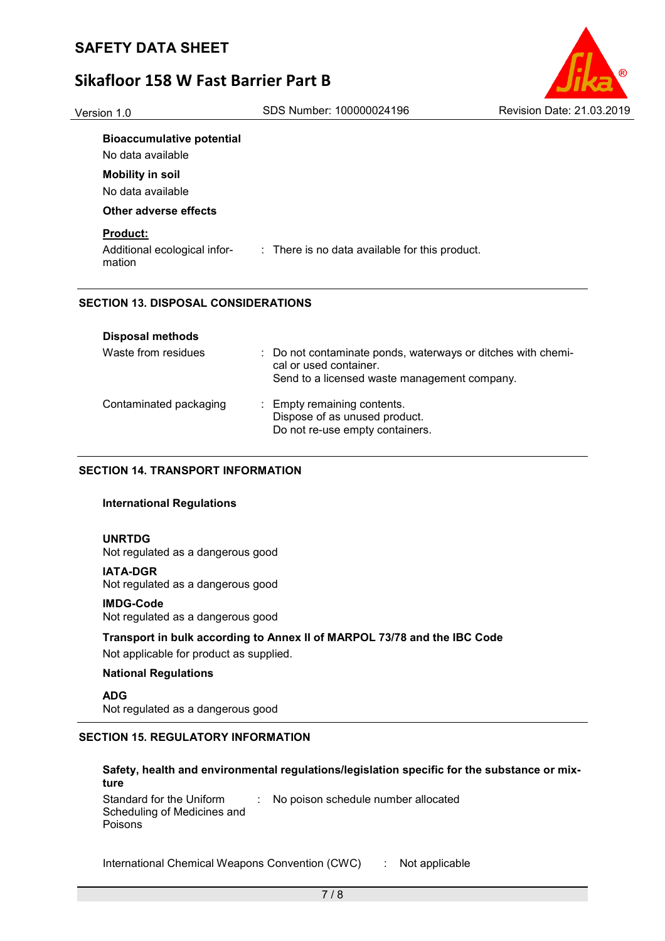# **Sikafloor 158 W Fast Barrier Part B**



# **Bioaccumulative potential**

No data available

# **Mobility in soil**

No data available

### **Other adverse effects**

## **Product:**

Additional ecological information : There is no data available for this product.

## **SECTION 13. DISPOSAL CONSIDERATIONS**

| <b>Disposal methods</b> |                                                                                                                                        |
|-------------------------|----------------------------------------------------------------------------------------------------------------------------------------|
| Waste from residues     | : Do not contaminate ponds, waterways or ditches with chemi-<br>cal or used container.<br>Send to a licensed waste management company. |
| Contaminated packaging  | : Empty remaining contents.<br>Dispose of as unused product.<br>Do not re-use empty containers.                                        |

## **SECTION 14. TRANSPORT INFORMATION**

## **International Regulations**

#### **UNRTDG**

Not regulated as a dangerous good

#### **IATA-DGR**

Not regulated as a dangerous good

## **IMDG-Code**

Not regulated as a dangerous good

# **Transport in bulk according to Annex II of MARPOL 73/78 and the IBC Code**

Not applicable for product as supplied.

## **National Regulations**

**ADG** Not regulated as a dangerous good

# **SECTION 15. REGULATORY INFORMATION**

# **Safety, health and environmental regulations/legislation specific for the substance or mixture**

Standard for the Uniform Scheduling of Medicines and Poisons : No poison schedule number allocated

International Chemical Weapons Convention (CWC) : Not applicable